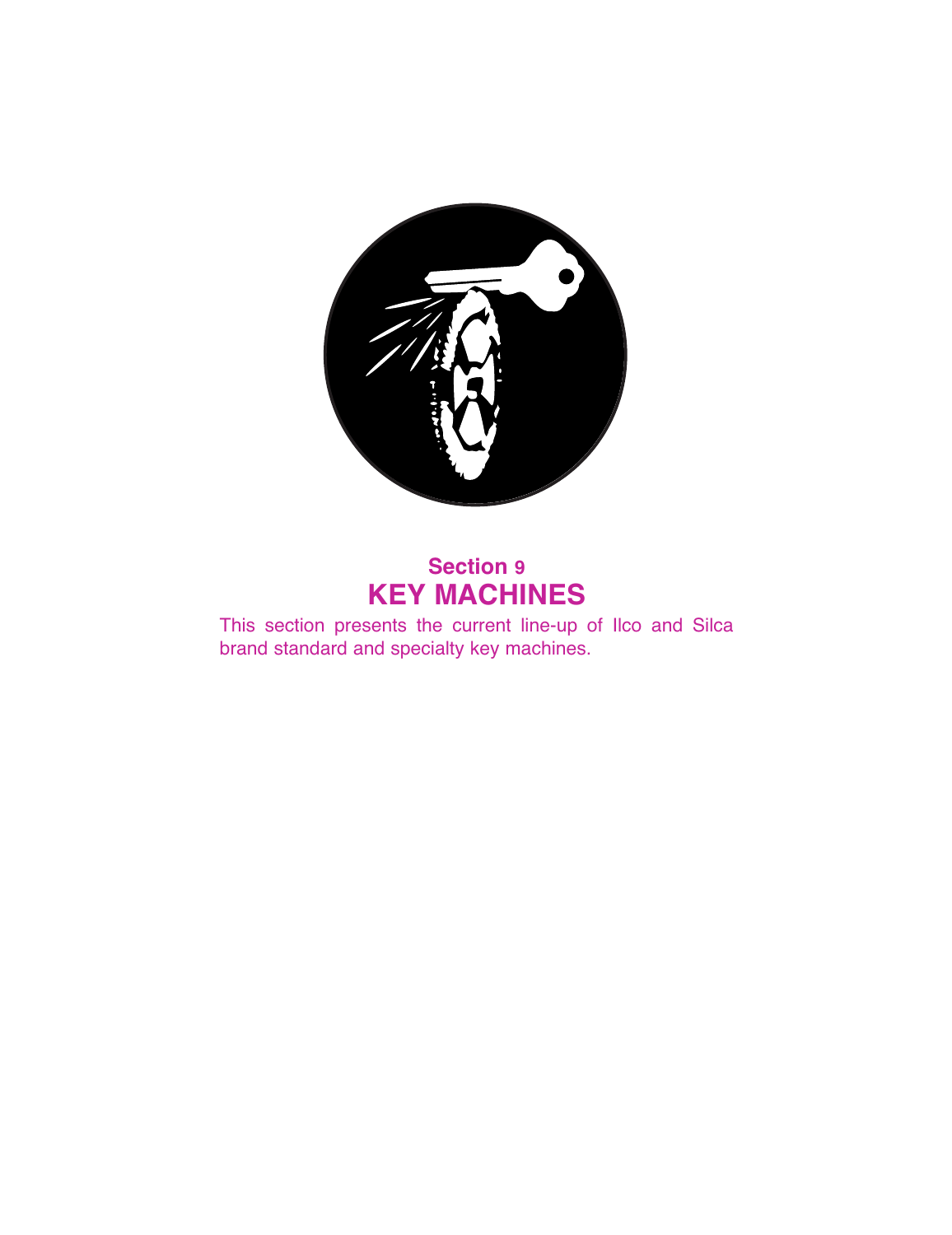

# **Section 9 KEY MACHINES**

This section presents the current line-up of Ilco and Silca brand standard and specialty key machines.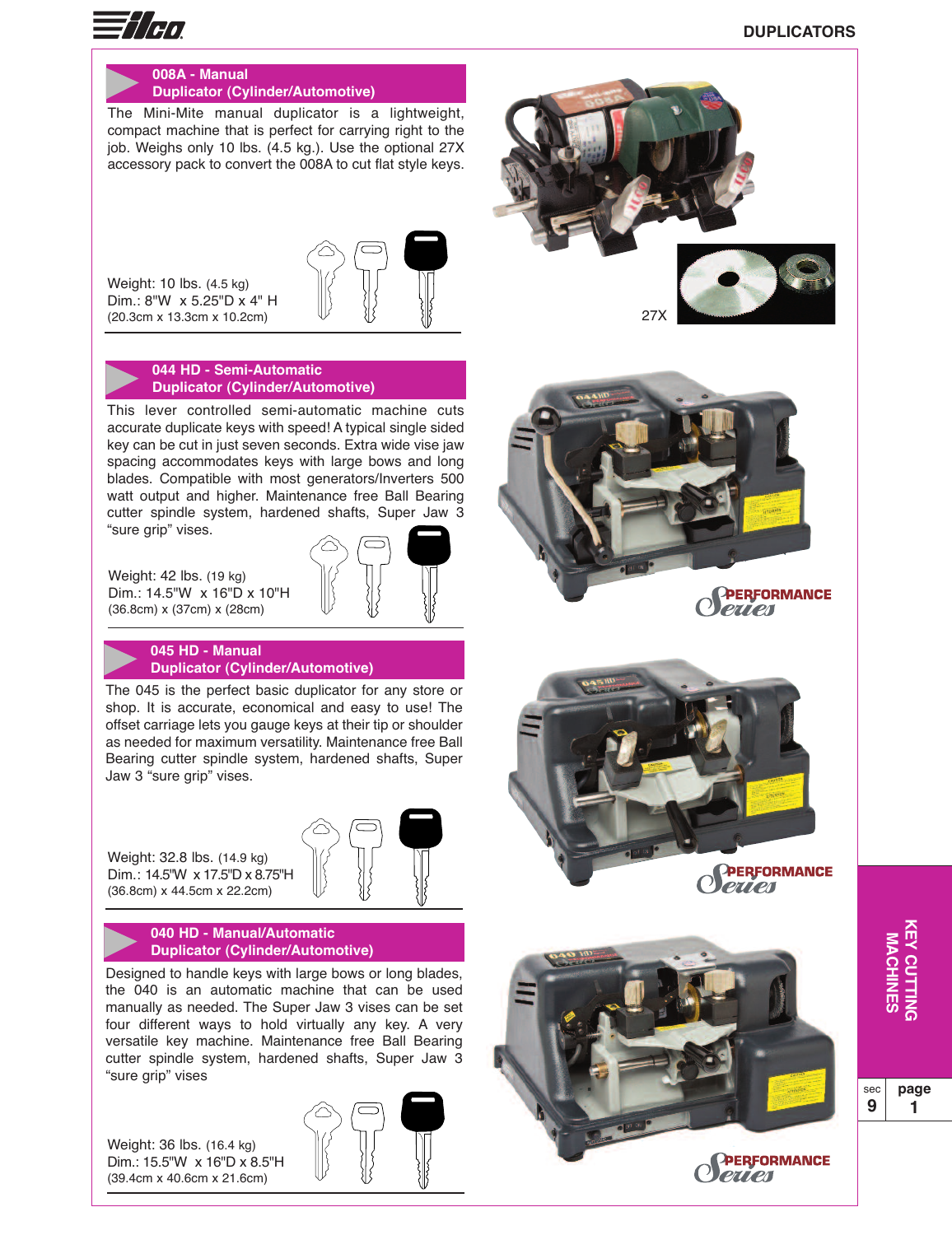

# **008A - Manual Duplicator (Cylinder/Automotive)**

The Mini-Mite manual duplicator is a lightweight, compact machine that is perfect for carrying right to the job. Weighs only 10 lbs. (4.5 kg.). Use the optional 27X accessory pack to convert the 008A to cut flat style keys.

Weight: 10 lbs. (4.5 kg) Dim.: 8"W x 5.25"D x 4" H (20.3cm x 13.3cm x 10.2cm)



**044 HD - Semi-Automatic Duplicator (Cylinder/Automotive)**

This lever controlled semi-automatic machine cuts accurate duplicate keys with speed! A typical single sided key can be cut in just seven seconds. Extra wide vise jaw spacing accommodates keys with large bows and long blades. Compatible with most generators/Inverters 500 watt output and higher. Maintenance free Ball Bearing cutter spindle system, hardened shafts, Super Jaw 3 "sure grip" vises.





The 045 is the perfect basic duplicator for any store or shop. It is accurate, economical and easy to use! The offset carriage lets you gauge keys at their tip or shoulder as needed for maximum versatility. Maintenance free Ball Bearing cutter spindle system, hardened shafts, Super Jaw 3 "sure grip" vises.

Weight: 32.8 lbs. (14.9 kg) Dim.: 14.5"W x 17.5"D x 8.75"H (36.8cm) x 44.5cm x 22.2cm)

#### **040 HD - Manual/Automatic Duplicator (Cylinder/Automotive)**

Designed to handle keys with large bows or long blades, the 040 is an automatic machine that can be used manually as needed. The Super Jaw 3 vises can be set four different ways to hold virtually any key. A very versatile key machine. Maintenance free Ball Bearing cutter spindle system, hardened shafts, Super Jaw 3 "sure grip" vises

Weight: 36 lbs. (16.4 kg) Dim.: 15.5"W x 16"D x 8.5"H (39.4cm x 40.6cm x 21.6cm)







PERFORMANCE

eries

PERFORMANCE

**PETTEN** 

sec **9 page 1**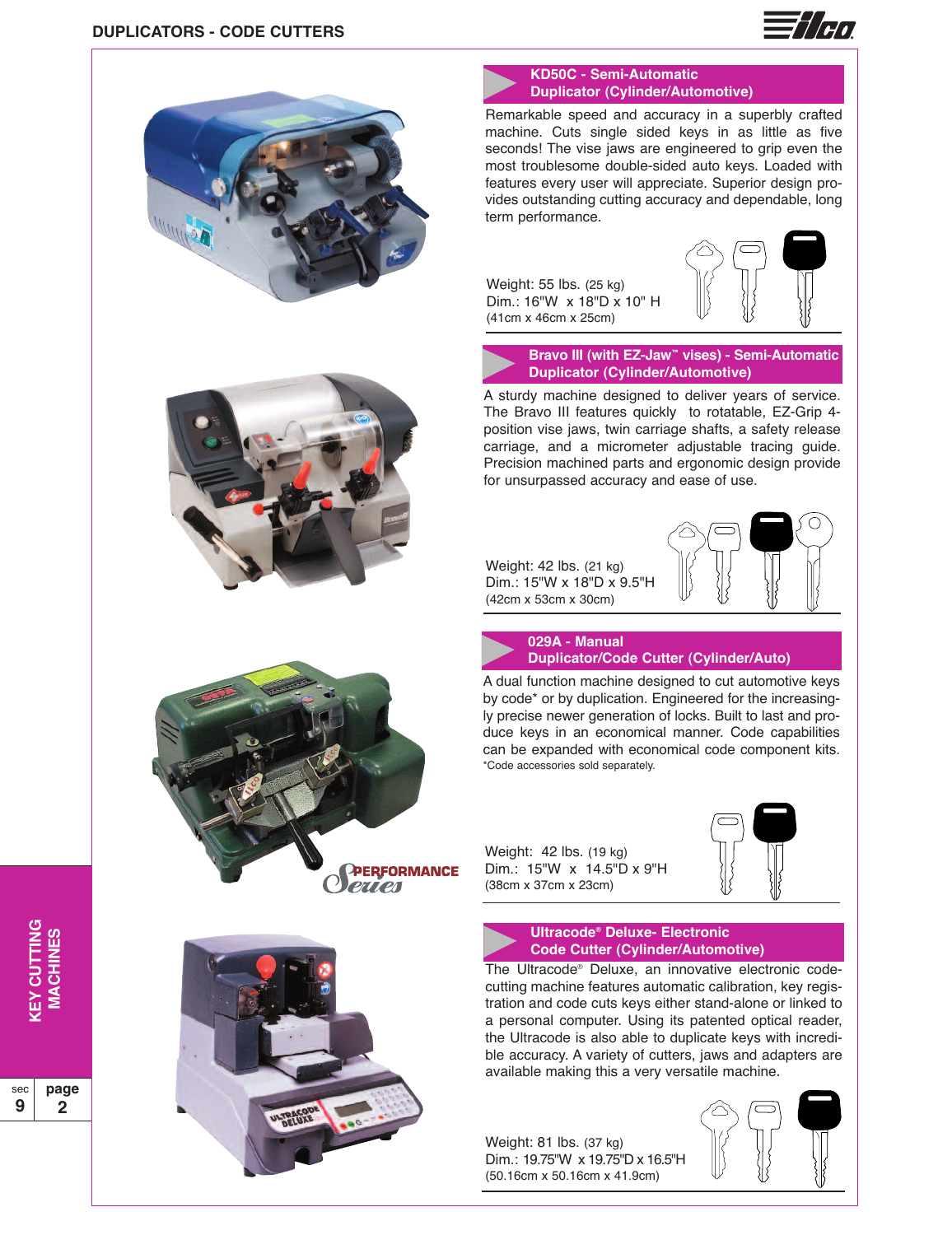









## **KD50C - Semi-Automatic Duplicator (Cylinder/Automotive)**

Remarkable speed and accuracy in a superbly crafted machine. Cuts single sided keys in as little as five seconds! The vise jaws are engineered to grip even the most troublesome double-sided auto keys. Loaded with features every user will appreciate. Superior design provides outstanding cutting accuracy and dependable, long term performance.

Weight: 55 lbs. (25 kg) Dim.: 16"W x 18"D x 10" H (41cm x 46cm x 25cm)



**Bravo III (with EZ-Jaw™ vises) - Semi-Automatic Duplicator (Cylinder/Automotive)**

A sturdy machine designed to deliver years of service. The Bravo III features quickly to rotatable, EZ-Grip 4 position vise jaws, twin carriage shafts, a safety release carriage, and a micrometer adjustable tracing guide. Precision machined parts and ergonomic design provide for unsurpassed accuracy and ease of use.

Weight: 42 lbs. (21 kg) Dim.: 15"W x 18"D x 9.5"H (42cm x 53cm x 30cm)





# **Duplicator/Code Cutter (Cylinder/Auto)**

A dual function machine designed to cut automotive keys by code\* or by duplication. Engineered for the increasingly precise newer generation of locks. Built to last and produce keys in an economical manner. Code capabilities can be expanded with economical code component kits. \*Code accessories sold separately.

Weight: 42 lbs. (19 kg) Dim.: 15"W x 14.5"D x 9"H (38cm x 37cm x 23cm)



#### **Ultracode® Deluxe- Electronic Code Cutter (Cylinder/Automotive)**

The Ultracode® Deluxe, an innovative electronic codecutting machine features automatic calibration, key registration and code cuts keys either stand-alone or linked to a personal computer. Using its patented optical reader, the Ultracode is also able to duplicate keys with incredible accuracy. A variety of cutters, jaws and adapters are available making this a very versatile machine.

Weight: 81 lbs. (37 kg) Dim.: 19.75"W x 19.75"D x 16.5"H (50.16cm x 50.16cm x 41.9cm)

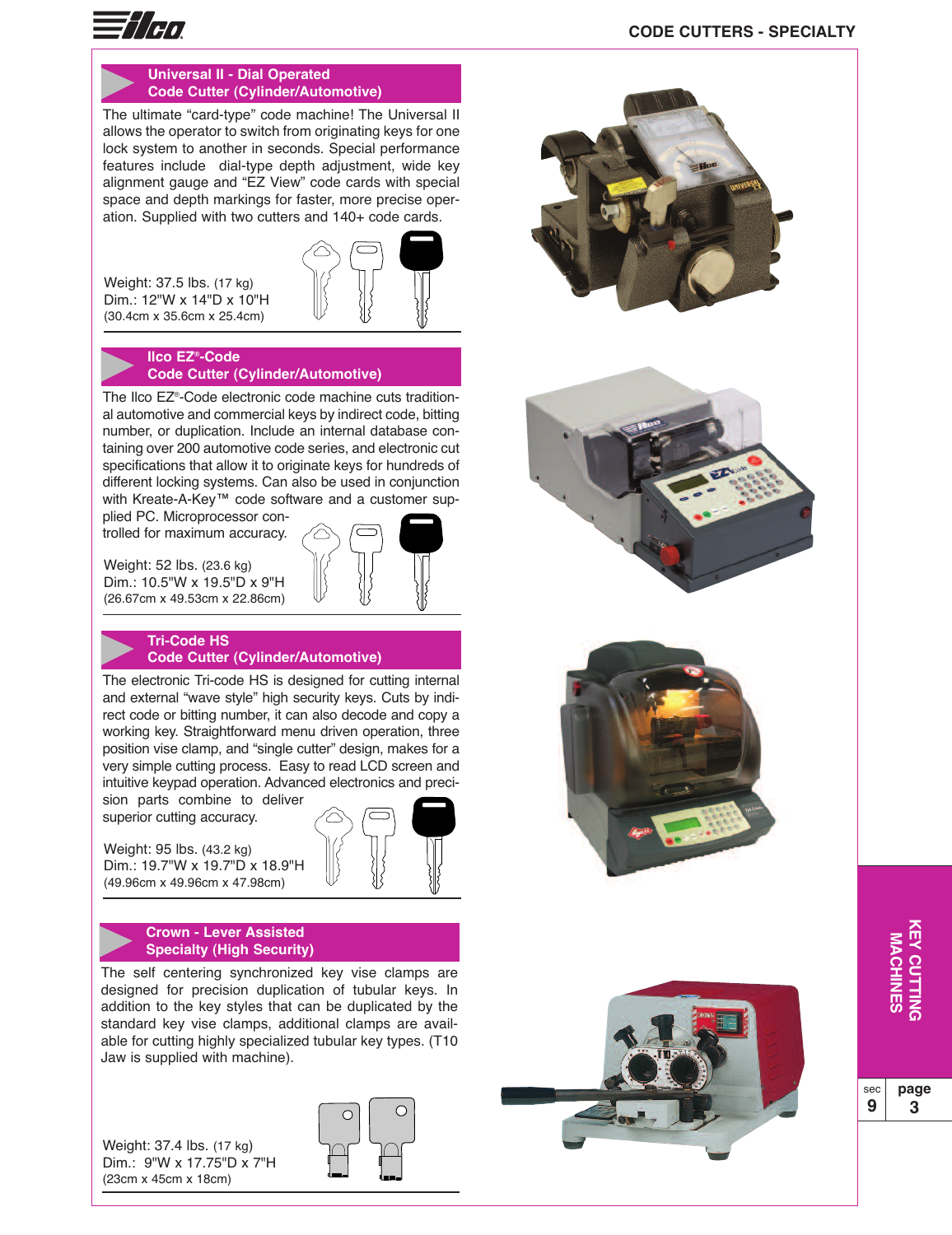

### **Universal II - Dial Operated Code Cutter (Cylinder/Automotive)**

The ultimate "card-type" code machine! The Universal II allows the operator to switch from originating keys for one lock system to another in seconds. Special performance features include dial-type depth adjustment, wide key alignment gauge and "EZ View" code cards with special space and depth markings for faster, more precise operation. Supplied with two cutters and 140+ code cards.

Weight: 37.5 lbs. (17 kg) Dim.: 12"W x 14"D x 10"H (30.4cm x 35.6cm x 25.4cm)



**Ilco EZ®-Code Code Cutter (Cylinder/Automotive)**

The Ilco EZ®-Code electronic code machine cuts traditional automotive and commercial keys by indirect code, bitting number, or duplication. Include an internal database containing over 200 automotive code series, and electronic cut specifications that allow it to originate keys for hundreds of different locking systems. Can also be used in conjunction with Kreate-A-Key™ code software and a customer sup-

plied PC. Microprocessor controlled for maximum accuracy.

Weight: 52 lbs. (23.6 kg) Dim.: 10.5"W x 19.5"D x 9"H (26.67cm x 49.53cm x 22.86cm)



#### **Tri-Code HS Code Cutter (Cylinder/Automotive)**

The electronic Tri-code HS is designed for cutting internal and external "wave style" high security keys. Cuts by indirect code or bitting number, it can also decode and copy a working key. Straightforward menu driven operation, three position vise clamp, and "single cutter" design, makes for a very simple cutting process. Easy to read LCD screen and intuitive keypad operation. Advanced electronics and preci-

sion parts combine to deliver superior cutting accuracy.

Weight: 95 lbs. (43.2 kg) Dim.: 19.7"W x 19.7"D x 18.9"H (49.96cm x 49.96cm x 47.98cm)

#### **Crown - Lever Assisted Specialty (High Security)**

The self centering synchronized key vise clamps are designed for precision duplication of tubular keys. In addition to the key styles that can be duplicated by the standard key vise clamps, additional clamps are available for cutting highly specialized tubular key types. (T10 Jaw is supplied with machine).

Weight: 37.4 lbs. (17 kg) Dim.: 9"W x 17.75"D x 7"H (23cm x 45cm x 18cm)



# **CODE CUTTERS - SPECIALTY**



**page 3**

**G**

sec **9**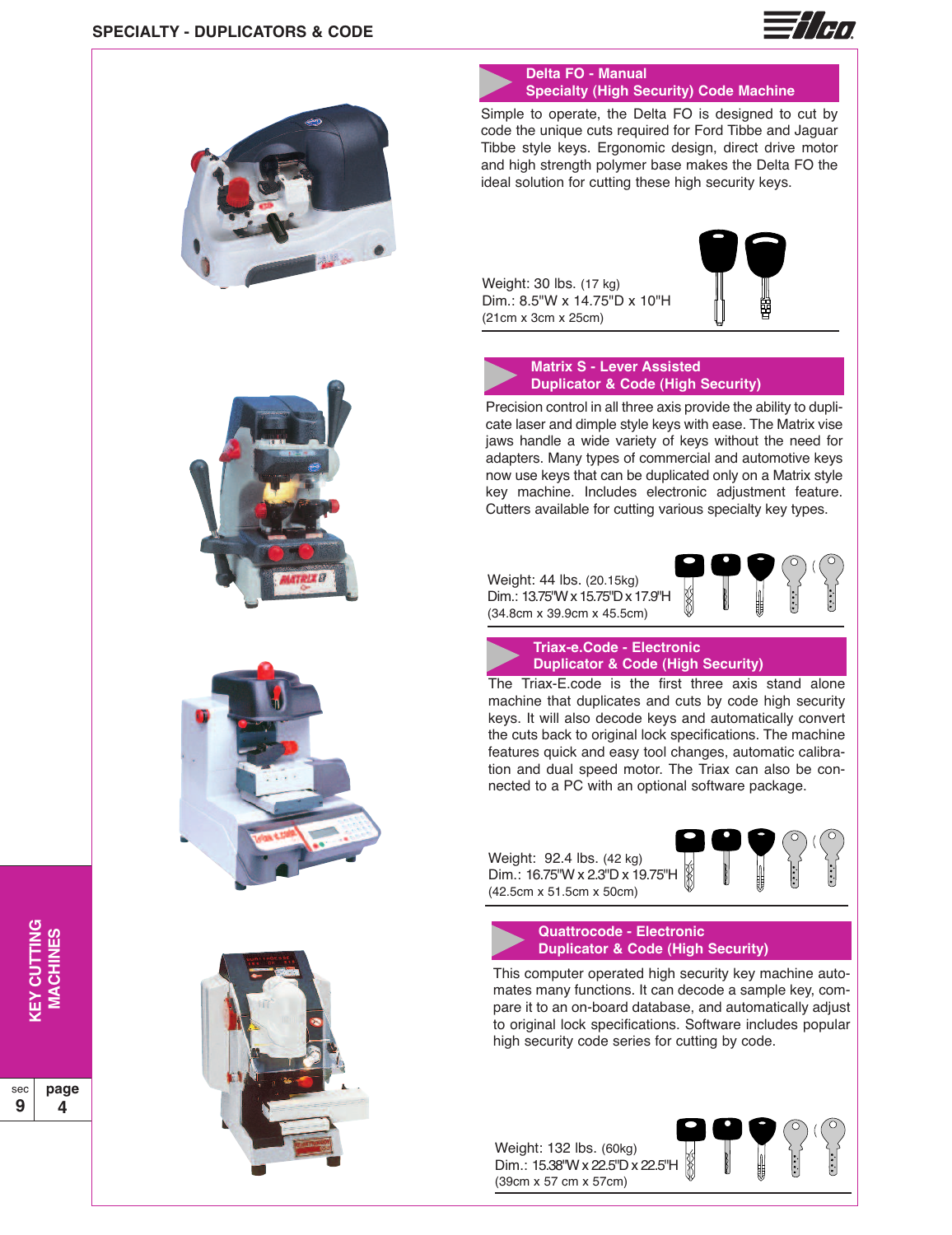



# **Delta FO - Manual Specialty (High Security) Code Machine**

Simple to operate, the Delta FO is designed to cut by code the unique cuts required for Ford Tibbe and Jaguar Tibbe style keys. Ergonomic design, direct drive motor and high strength polymer base makes the Delta FO the ideal solution for cutting these high security keys.

Weight: 30 lbs. (17 kg) Dim.: 8.5"W x 14.75"D x 10"H (21cm x 3cm x 25cm)



#### **Matrix S - Lever Assisted Duplicator & Code (High Security)**

Precision control in all three axis provide the ability to duplicate laser and dimple style keys with ease. The Matrix vise jaws handle a wide variety of keys without the need for adapters. Many types of commercial and automotive keys now use keys that can be duplicated only on a Matrix style key machine. Includes electronic adjustment feature. Cutters available for cutting various specialty key types.

Weight: 44 lbs. (20.15kg) Dim.: 13.75"Wx15.75"Dx17.9"H (34.8cm x 39.9cm x 45.5cm)





**Triax-e.Code - Electronic Duplicator & Code (High Security)**

The Triax-E.code is the first three axis stand alone machine that duplicates and cuts by code high security keys. It will also decode keys and automatically convert the cuts back to original lock specifications. The machine features quick and easy tool changes, automatic calibration and dual speed motor. The Triax can also be connected to a PC with an optional software package.

Weight: 92.4 lbs. (42 kg) Dim.: 16.75"W x 2.3"D x 19.75"H (42.5cm x 51.5cm x 50cm)



**Quattrocode - Electronic Duplicator & Code (High Security)**

This computer operated high security key machine automates many functions. It can decode a sample key, compare it to an on-board database, and automatically adjust to original lock specifications. Software includes popular high security code series for cutting by code.

Weight: 132 lbs. (60kg) Dim.: 15.38"W x 22.5"D x 22.5"H (39cm x 57 cm x 57cm)









**KE Y**  $\mathbf{\mathbf{C}}$ **U T TIN G MACHIN ES**

sec **9 page 4**